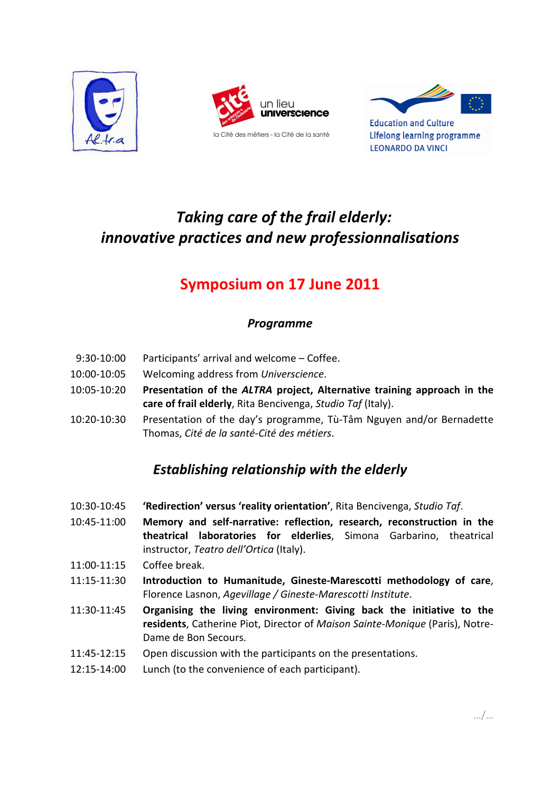





**Education and Culture** Lifelong learning programme **LEONARDO DA VINCI** 

# *Taking care of the frail elderly: innovative practices and new professionnalisations*

## **Symposium on 17 June 2011**

#### *Programme*

- 9:30-10:00 Participants' arrival and welcome Coffee.
- 10:00-10:05 Welcoming address from *Universcience*.
- 10:05-10:20 **Presentation of the** *ALTRA* **project, Alternative training approach in the care of frail elderly**, Rita Bencivenga, *Studio Taf* (Italy).
- 10:20-10:30 Presentation of the day's programme, Tù-Tâm Nguyen and/or Bernadette Thomas, *Cité de la santé-Cité des métiers*.

## *Establishing relationship with the elderly*

- 10:30-10:45 **'Redirection' versus 'reality orientation'**, Rita Bencivenga, *Studio Taf*.
- 10:45-11:00 **Memory and self-narrative: reflection, research, reconstruction in the theatrical laboratories for elderlies**, Simona Garbarino, theatrical instructor, *Teatro dell'Ortica* (Italy).
- 11:00-11:15 Coffee break.
- 11:15-11:30 **Introduction to Humanitude, Gineste-Marescotti methodology of care**, Florence Lasnon, *Agevillage / Gineste-Marescotti Institute*.
- 11:30-11:45 **Organising the living environment: Giving back the initiative to the residents**, Catherine Piot, Director of *Maison Sainte-Monique* (Paris), Notre-Dame de Bon Secours.
- 11:45-12:15 Open discussion with the participants on the presentations.
- 12:15-14:00 Lunch (to the convenience of each participant).